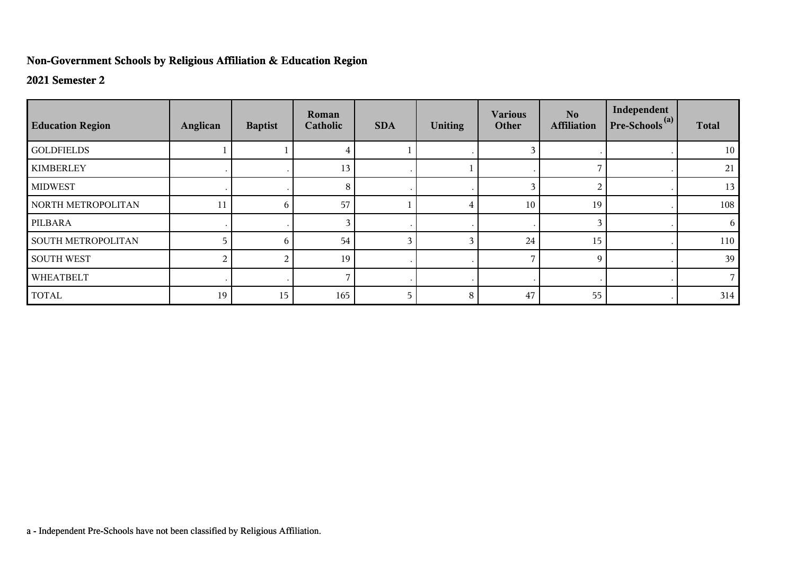## **Non-Government Schools by Religious Affiliation & Education Region**

## **2021 Semester 2**

| <b>Education Region</b>   | Anglican | <b>Baptist</b> | Roman<br>Catholic | <b>SDA</b> | <b>Uniting</b> | <b>Various</b><br>Other | No.<br><b>Affiliation</b> | Independent<br>$Pre-Schools(a)$ | <b>Total</b> |
|---------------------------|----------|----------------|-------------------|------------|----------------|-------------------------|---------------------------|---------------------------------|--------------|
| <b>GOLDFIELDS</b>         |          |                |                   |            |                |                         |                           |                                 | 10           |
| <b>KIMBERLEY</b>          |          |                | 13                |            |                |                         |                           |                                 | 21           |
| <b>MIDWEST</b>            |          |                | 8                 |            |                | 3                       | 2                         |                                 | 13           |
| NORTH METROPOLITAN        | 11       | 6              | 57                |            |                | 10                      | 19                        |                                 | 108          |
| PILBARA                   |          |                |                   |            |                |                         | 3                         |                                 | 6            |
| <b>SOUTH METROPOLITAN</b> |          | 6              | 54                | 3          |                | 24                      | 15                        |                                 | 110          |
| <b>SOUTH WEST</b>         | 2        | 2              | 19                |            |                |                         | 9                         |                                 | 39           |
| WHEATBELT                 |          |                |                   | $\cdot$    |                |                         |                           |                                 |              |
| <b>TOTAL</b>              | 19       | 15             | 165               | 5          | 8              | 47                      | 55                        |                                 | 314          |